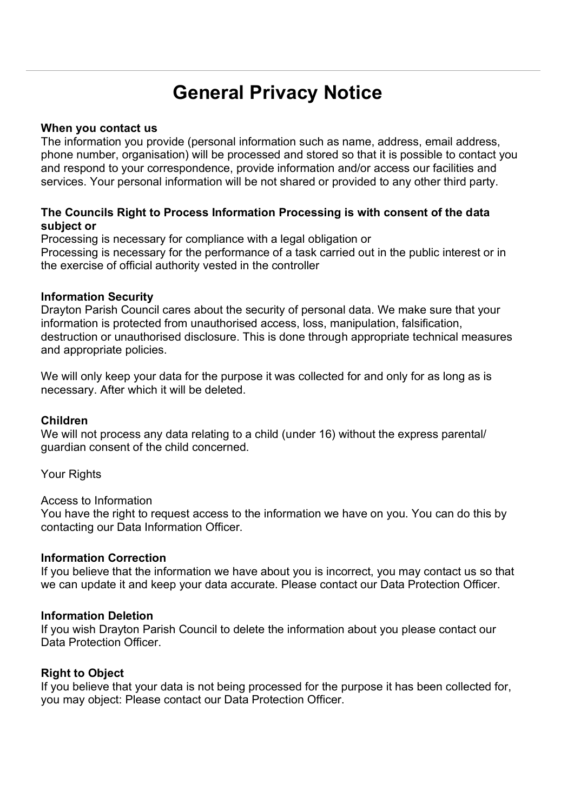# **General Privacy Notice**

## **When you contact us**

The information you provide (personal information such as name, address, email address, phone number, organisation) will be processed and stored so that it is possible to contact you and respond to your correspondence, provide information and/or access our facilities and services. Your personal information will be not shared or provided to any other third party.

## **The Councils Right to Process Information Processing is with consent of the data subject or**

Processing is necessary for compliance with a legal obligation or Processing is necessary for the performance of a task carried out in the public interest or in the exercise of official authority vested in the controller

## **Information Security**

Drayton Parish Council cares about the security of personal data. We make sure that your information is protected from unauthorised access, loss, manipulation, falsification, destruction or unauthorised disclosure. This is done through appropriate technical measures and appropriate policies.

We will only keep your data for the purpose it was collected for and only for as long as is necessary. After which it will be deleted.

#### **Children**

We will not process any data relating to a child (under 16) without the express parental/ guardian consent of the child concerned.

Your Rights

Access to Information

You have the right to request access to the information we have on you. You can do this by contacting our Data Information Officer.

## **Information Correction**

If you believe that the information we have about you is incorrect, you may contact us so that we can update it and keep your data accurate. Please contact our Data Protection Officer.

#### **Information Deletion**

If you wish Drayton Parish Council to delete the information about you please contact our Data Protection Officer.

## **Right to Object**

If you believe that your data is not being processed for the purpose it has been collected for, you may object: Please contact our Data Protection Officer.